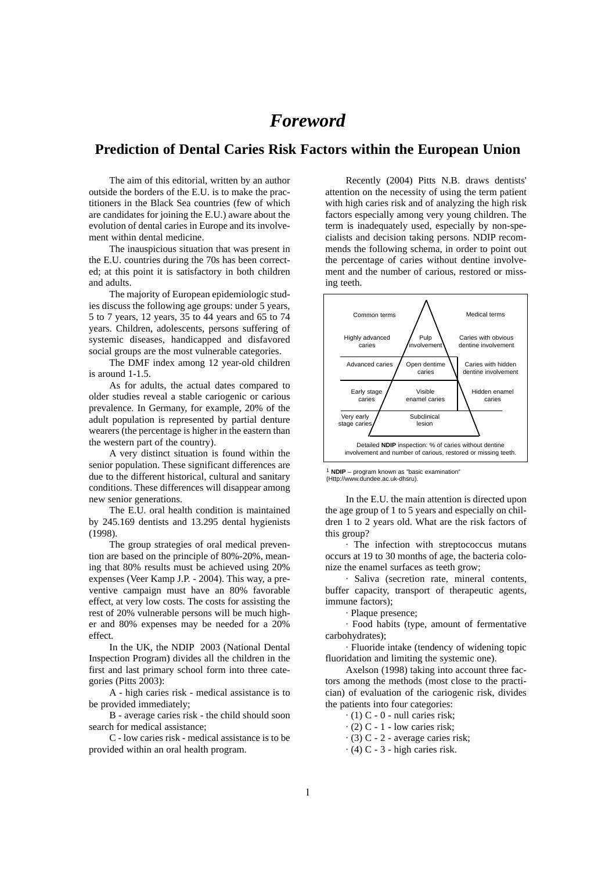## *Foreword*

### **Prediction of Dental Caries Risk Factors within the European Union**

The aim of this editorial, written by an author outside the borders of the E.U. is to make the practitioners in the Black Sea countries (few of which are candidates for joining the E.U.) aware about the evolution of dental caries in Europe and its involvement within dental medicine.

The inauspicious situation that was present in the E.U. countries during the 70s has been corrected; at this point it is satisfactory in both children and adults.

The majority of European epidemiologic studies discuss the following age groups: under 5 years, 5 to 7 years, 12 years, 35 to 44 years and 65 to 74 years. Children, adolescents, persons suffering of systemic diseases, handicapped and disfavored social groups are the most vulnerable categories.

The DMF index among 12 year-old children is around 1-1.5.

As for adults, the actual dates compared to older studies reveal a stable cariogenic or carious prevalence. In Germany, for example, 20% of the adult population is represented by partial denture wearers (the percentage is higher in the eastern than the western part of the country).

A very distinct situation is found within the senior population. These significant differences are due to the different historical, cultural and sanitary conditions. These differences will disappear among new senior generations.

The E.U. oral health condition is maintained by 245.169 dentists and 13.295 dental hygienists (1998).

The group strategies of oral medical prevention are based on the principle of 80%-20%, meaning that 80% results must be achieved using 20% expenses (Veer Kamp J.P. - 2004). This way, a preventive campaign must have an 80% favorable effect, at very low costs. The costs for assisting the rest of 20% vulnerable persons will be much higher and 80% expenses may be needed for a 20% effect.

In the UK, the NDIP 2003 (National Dental Inspection Program) divides all the children in the first and last primary school form into three categories (Pitts 2003):

A - high caries risk - medical assistance is to be provided immediately;

B - average caries risk - the child should soon search for medical assistance;

C - low caries risk - medical assistance is to be provided within an oral health program.

Recently (2004) Pitts N.B. draws dentists' attention on the necessity of using the term patient with high caries risk and of analyzing the high risk factors especially among very young children. The term is inadequately used, especially by non-specialists and decision taking persons. NDIP recommends the following schema, in order to point out the percentage of caries without dentine involvement and the number of carious, restored or missing teeth.



1 **NDIP** – program known as "basic examination" (Http://www.dundee.ac.uk-dhsru).

In the E.U. the main attention is directed upon the age group of 1 to 5 years and especially on children 1 to 2 years old. What are the risk factors of this group?

· The infection with streptococcus mutans occurs at 19 to 30 months of age, the bacteria colonize the enamel surfaces as teeth grow;

· Saliva (secretion rate, mineral contents, buffer capacity, transport of therapeutic agents, immune factors);

· Plaque presence;

· Food habits (type, amount of fermentative carbohydrates);

· Fluoride intake (tendency of widening topic fluoridation and limiting the systemic one).

Axelson (1998) taking into account three factors among the methods (most close to the practician) of evaluation of the cariogenic risk, divides the patients into four categories:

 $\cdot$  (1) C - 0 - null caries risk;

 $\cdot$  (2) C - 1 - low caries risk;

· (3) C - 2 - average caries risk;

 $\cdot$  (4) C - 3 - high caries risk.